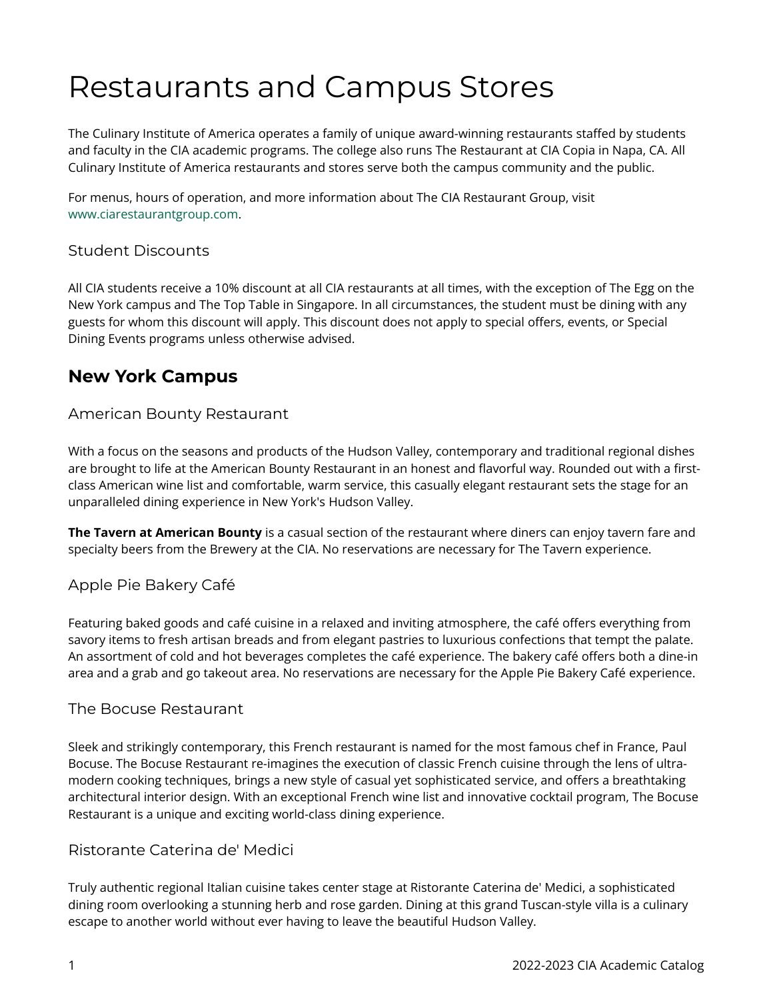# Restaurants and Campus Stores

The Culinary Institute of America operates a family of unique award-winning restaurants staffed by students and faculty in the CIA academic programs. The college also runs The Restaurant at CIA Copia in Napa, CA. All Culinary Institute of America restaurants and stores serve both the campus community and the public.

For menus, hours of operation, and more information about The CIA Restaurant Group, visit [www.ciarestaurantgroup.com.](http://www.ciarestaurantgroup.com/)

#### Student Discounts

All CIA students receive a 10% discount at all CIA restaurants at all times, with the exception of The Egg on the New York campus and The Top Table in Singapore. In all circumstances, the student must be dining with any guests for whom this discount will apply. This discount does not apply to special offers, events, or Special Dining Events programs unless otherwise advised.

## **New York Campus**

#### American Bounty Restaurant

With a focus on the seasons and products of the Hudson Valley, contemporary and traditional regional dishes are brought to life at the American Bounty Restaurant in an honest and flavorful way. Rounded out with a firstclass American wine list and comfortable, warm service, this casually elegant restaurant sets the stage for an unparalleled dining experience in New York's Hudson Valley.

**The Tavern at American Bounty** is a casual section of the restaurant where diners can enjoy tavern fare and specialty beers from the Brewery at the CIA. No reservations are necessary for The Tavern experience.

#### Apple Pie Bakery Café

Featuring baked goods and café cuisine in a relaxed and inviting atmosphere, the café offers everything from savory items to fresh artisan breads and from elegant pastries to luxurious confections that tempt the palate. An assortment of cold and hot beverages completes the café experience. The bakery café offers both a dine-in area and a grab and go takeout area. No reservations are necessary for the Apple Pie Bakery Café experience.

#### The Bocuse Restaurant

Sleek and strikingly contemporary, this French restaurant is named for the most famous chef in France, Paul Bocuse. The Bocuse Restaurant re-imagines the execution of classic French cuisine through the lens of ultramodern cooking techniques, brings a new style of casual yet sophisticated service, and offers a breathtaking architectural interior design. With an exceptional French wine list and innovative cocktail program, The Bocuse Restaurant is a unique and exciting world-class dining experience.

#### Ristorante Caterina de' Medici

Truly authentic regional Italian cuisine takes center stage at Ristorante Caterina de' Medici, a sophisticated dining room overlooking a stunning herb and rose garden. Dining at this grand Tuscan-style villa is a culinary escape to another world without ever having to leave the beautiful Hudson Valley.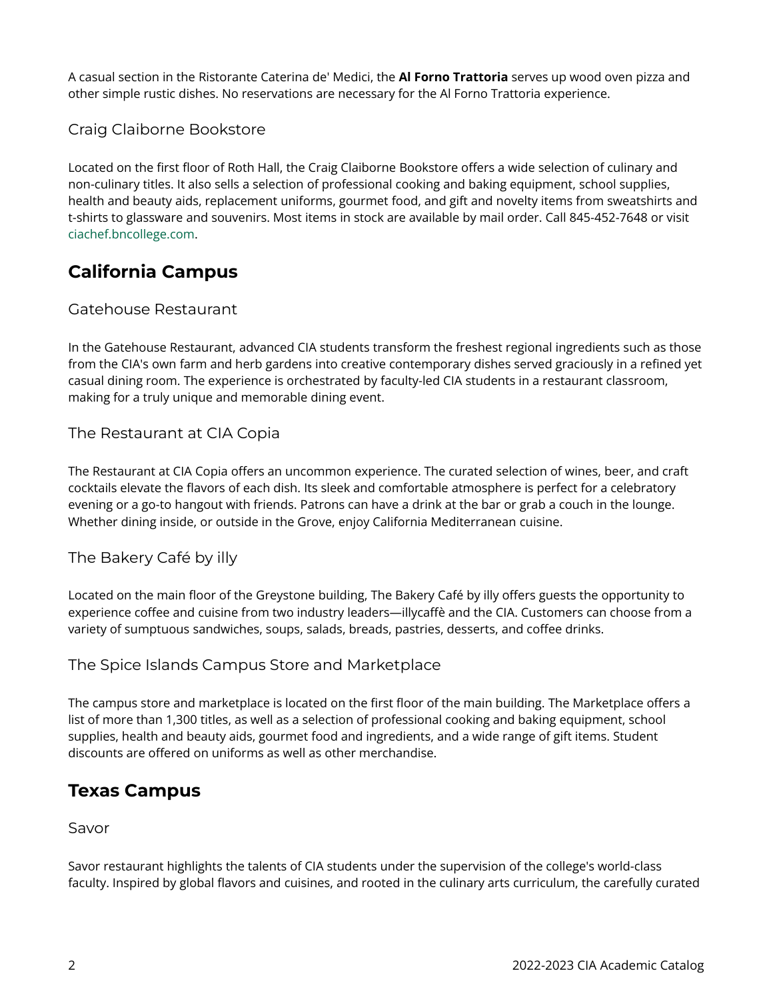A casual section in the Ristorante Caterina de' Medici, the **Al Forno Trattoria** serves up wood oven pizza and other simple rustic dishes. No reservations are necessary for the Al Forno Trattoria experience.

#### Craig Claiborne Bookstore

Located on the first floor of Roth Hall, the Craig Claiborne Bookstore offers a wide selection of culinary and non-culinary titles. It also sells a selection of professional cooking and baking equipment, school supplies, health and beauty aids, replacement uniforms, gourmet food, and gift and novelty items from sweatshirts and t-shirts to glassware and souvenirs. Most items in stock are available by mail order. Call 845-452-7648 or visit [ciachef.bncollege.com](http://ciachef.bncollege.com/).

## **California Campus**

#### Gatehouse Restaurant

In the Gatehouse Restaurant, advanced CIA students transform the freshest regional ingredients such as those from the CIA's own farm and herb gardens into creative contemporary dishes served graciously in a refined yet casual dining room. The experience is orchestrated by faculty-led CIA students in a restaurant classroom, making for a truly unique and memorable dining event.

#### The Restaurant at CIA Copia

The Restaurant at CIA Copia offers an uncommon experience. The curated selection of wines, beer, and craft cocktails elevate the flavors of each dish. Its sleek and comfortable atmosphere is perfect for a celebratory evening or a go-to hangout with friends. Patrons can have a drink at the bar or grab a couch in the lounge. Whether dining inside, or outside in the Grove, enjoy California Mediterranean cuisine.

#### The Bakery Café by illy

Located on the main floor of the Greystone building, The Bakery Café by illy offers guests the opportunity to experience coffee and cuisine from two industry leaders—illycaffè and the CIA. Customers can choose from a variety of sumptuous sandwiches, soups, salads, breads, pastries, desserts, and coffee drinks.

#### The Spice Islands Campus Store and Marketplace

The campus store and marketplace is located on the first floor of the main building. The Marketplace offers a list of more than 1,300 titles, as well as a selection of professional cooking and baking equipment, school supplies, health and beauty aids, gourmet food and ingredients, and a wide range of gift items. Student discounts are offered on uniforms as well as other merchandise.

### **Texas Campus**

#### Savor

Savor restaurant highlights the talents of CIA students under the supervision of the college's world-class faculty. Inspired by global flavors and cuisines, and rooted in the culinary arts curriculum, the carefully curated